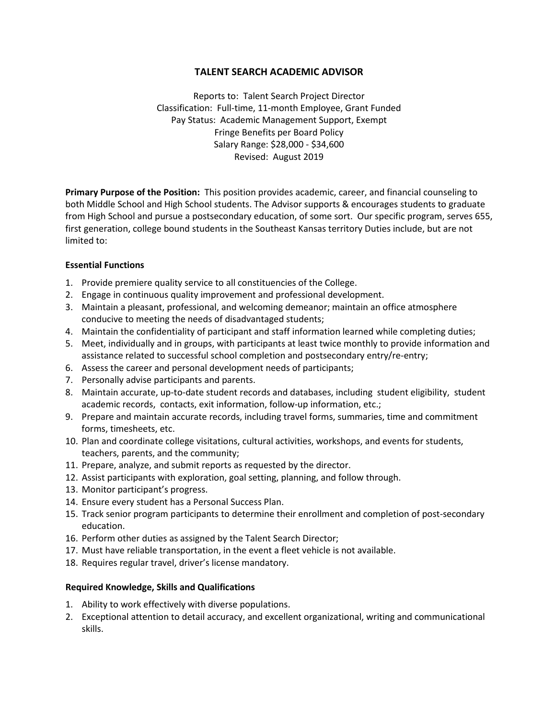# **TALENT SEARCH ACADEMIC ADVISOR**

Reports to: Talent Search Project Director Classification: Full-time, 11-month Employee, Grant Funded Pay Status: Academic Management Support, Exempt Fringe Benefits per Board Policy Salary Range: \$28,000 - \$34,600 Revised: August 2019

**Primary Purpose of the Position:** This position provides academic, career, and financial counseling to both Middle School and High School students. The Advisor supports & encourages students to graduate from High School and pursue a postsecondary education, of some sort. Our specific program, serves 655, first generation, college bound students in the Southeast Kansas territory Duties include, but are not limited to:

### **Essential Functions**

- 1. Provide premiere quality service to all constituencies of the College.
- 2. Engage in continuous quality improvement and professional development.
- 3. Maintain a pleasant, professional, and welcoming demeanor; maintain an office atmosphere conducive to meeting the needs of disadvantaged students;
- 4. Maintain the confidentiality of participant and staff information learned while completing duties;
- 5. Meet, individually and in groups, with participants at least twice monthly to provide information and assistance related to successful school completion and postsecondary entry/re-entry;
- 6. Assess the career and personal development needs of participants;
- 7. Personally advise participants and parents.
- 8. Maintain accurate, up-to-date student records and databases, including student eligibility, student academic records, contacts, exit information, follow-up information, etc.;
- 9. Prepare and maintain accurate records, including travel forms, summaries, time and commitment forms, timesheets, etc.
- 10. Plan and coordinate college visitations, cultural activities, workshops, and events for students, teachers, parents, and the community;
- 11. Prepare, analyze, and submit reports as requested by the director.
- 12. Assist participants with exploration, goal setting, planning, and follow through.
- 13. Monitor participant's progress.
- 14. Ensure every student has a Personal Success Plan.
- 15. Track senior program participants to determine their enrollment and completion of post-secondary education.
- 16. Perform other duties as assigned by the Talent Search Director;
- 17. Must have reliable transportation, in the event a fleet vehicle is not available.
- 18. Requires regular travel, driver's license mandatory.

### **Required Knowledge, Skills and Qualifications**

- 1. Ability to work effectively with diverse populations.
- 2. Exceptional attention to detail accuracy, and excellent organizational, writing and communicational skills.